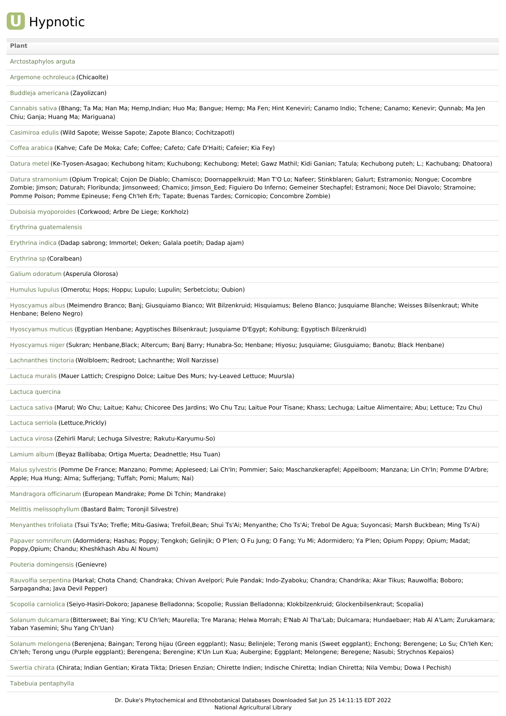## **U** Hypnotic

## **[Plant](file:///phytochem/ethnoActivity/ethnoActivityListAll?max=&offset=0&count=&filter=&sort=plant&order=asc)**

[Arctostaphylos](file:///phytochem/ethnoPlants/show/2903) arguta

Argemone [ochroleuca](file:///phytochem/ethnoPlants/show/4960) (Chicaolte)

Buddleja [americana](file:///phytochem/ethnoPlants/show/1449) (Zayolizcan)

[Cannabis](file:///phytochem/ethnoPlants/show/1190) sativa (Bhang; Ta Ma; Han Ma; Hemp,Indian; Huo Ma; Bangue; Hemp; Ma Fen; Hint Keneviri; Canamo Indio; Tchene; Canamo; Kenevir; Qunnab; Ma Jen Chiu; Ganja; Huang Ma; Mariguana)

[Casimiroa](file:///phytochem/ethnoPlants/show/1452) edulis (Wild Sapote; Weisse Sapote; Zapote Blanco; Cochitzapotl)

Coffea [arabica](file:///phytochem/ethnoPlants/show/617) (Kahve; Cafe De Moka; Cafe; Coffee; Cafeto; Cafe D'Haiti; Cafeier; Kia Fey)

[Datura](file:///phytochem/ethnoPlants/show/632) metel (Ke-Tyosen-Asagao; Kechubong hitam; Kuchubong; Kechubong; Metel; Gawz Mathil; Kidi Ganian; Tatula; Kechubong puteh; L.; Kachubang; Dhatoora)

Datura [stramonium](file:///phytochem/ethnoPlants/show/497) (Opium Tropical; Cojon De Diablo; Chamisco; Doornappelkruid; Man T'O Lo; Nafeer; Stinkblaren; Galurt; Estramonio; Nongue; Cocombre Zombie; Jimson; Daturah; Floribunda; Jimsonweed; Chamico; Jimson Eed; Figuiero Do Inferno; Gemeiner Stechapfel; Estramoni; Noce Del Diavolo; Stramoine; Pomme Poison; Pomme Epineuse; Feng Ch'Ieh Erh; Tapate; Buenas Tardes; Cornicopio; Concombre Zombie)

Duboisia [myoporoides](file:///phytochem/ethnoPlants/show/7695) (Corkwood; Arbre De Liege; Korkholz)

Erythrina [guatemalensis](file:///phytochem/ethnoPlants/show/6344)

[Erythrina](file:///phytochem/ethnoPlants/show/1457) indica (Dadap sabrong; Immortel; Oeken; Galala poetih; Dadap ajam)

[Erythrina](file:///phytochem/ethnoPlants/show/7696) sp (Coralbean)

Galium [odoratum](file:///phytochem/ethnoPlants/show/2456) (Asperula Olorosa)

[Humulus](file:///phytochem/ethnoPlants/show/1483) lupulus (Omerotu; Hops; Hoppu; Lupulo; Lupulin; Serbetciotu; Oubion)

[Hyoscyamus](file:///phytochem/ethnoPlants/show/1695) albus (Meimendro Branco; Banj; Giusquiamo Bianco; Wit Bilzenkruid; Hisquiamus; Beleno Blanco; Jusquiame Blanche; Weisses Bilsenkraut; White Henbane; Beleno Negro)

[Hyoscyamus](file:///phytochem/ethnoPlants/show/1696) muticus (Egyptian Henbane; Agyptisches Bilsenkraut; Jusquiame D'Egypt; Kohibung; Egyptisch Bilzenkruid)

[Hyoscyamus](file:///phytochem/ethnoPlants/show/1125) niger (Sukran; Henbane,Black; Altercum; Banj Barry; Hunabra-So; Henbane; Hiyosu; Jusquiame; Giusguiamo; Banotu; Black Henbane)

[Lachnanthes](file:///phytochem/ethnoPlants/show/5389) tinctoria (Wolbloem; Redroot; Lachnanthe; Woll Narzisse)

[Lactuca](file:///phytochem/ethnoPlants/show/6750) muralis (Mauer Lattich; Crespigno Dolce; Laitue Des Murs; Ivy-Leaved Lettuce; Muursla)

Lactuca [quercina](file:///phytochem/ethnoPlants/show/5390)

[Lactuca](file:///phytochem/ethnoPlants/show/1484) sativa (Marul; Wo Chu; Laitue; Kahu; Chicoree Des Jardins; Wo Chu Tzu; Laitue Pour Tisane; Khass; Lechuga; Laitue Alimentaire; Abu; Lettuce; Tzu Chu)

[Lactuca](file:///phytochem/ethnoPlants/show/3908) serriola (Lettuce,Prickly)

[Lactuca](file:///phytochem/ethnoPlants/show/1708) virosa (Zehirli Marul; Lechuga Silvestre; Rakutu-Karyumu-So)

[Lamium](file:///phytochem/ethnoPlants/show/3077) album (Beyaz Ballibaba; Ortiga Muerta; Deadnettle; Hsu Tuan)

Malus [sylvestris](file:///phytochem/ethnoPlants/show/2465) (Pomme De France; Manzano; Pomme; Appleseed; Lai Ch'In; Pommier; Saio; Maschanzkerapfel; Appelboom; Manzana; Lin Ch'In; Pomme D'Arbre; Apple; Hua Hung; Alma; Sufferjang; Tuffah; Pomi; Malum; Nai)

[Mandragora](file:///phytochem/ethnoPlants/show/1543) officinarum (European Mandrake; Pome Di Tchin; Mandrake)

Melittis [melissophyllum](file:///phytochem/ethnoPlants/show/2467) (Bastard Balm; Toronjil Silvestre)

[Menyanthes](file:///phytochem/ethnoPlants/show/2468) trifoliata (Tsui Ts'Ao; Trefle; Mitu-Gasiwa; Trefoil,Bean; Shui Ts'Ai; Menyanthe; Cho Ts'Ai; Trebol De Agua; Suyoncasi; Marsh Buckbean; Ming Ts'Ai)

Papaver [somniferum](file:///phytochem/ethnoPlants/show/744) (Adormidera; Hashas; Poppy; Tengkoh; Gelinjik; O P'len; O Fu Jung; O Fang; Yu Mi; Adormidero; Ya P'len; Opium Poppy; Opium; Madat; Poppy,Opium; Chandu; Kheshkhash Abu Al Noum)

Pouteria [domingensis](file:///phytochem/ethnoPlants/show/11412) (Genievre)

Rauvolfia [serpentina](file:///phytochem/ethnoPlants/show/3607) (Harkal; Chota Chand; Chandraka; Chivan Avelpori; Pule Pandak; Indo-Zyaboku; Chandra; Chandrika; Akar Tikus; Rauwolfia; Boboro; Sarpagandha; Java Devil Pepper)

Scopolia [carniolica](file:///phytochem/ethnoPlants/show/6298) (Seiyo-Hasiri-Dokoro; Japanese Belladonna; Scopolie; Russian Belladonna; Klokbilzenkruid; Glockenbilsenkraut; Scopalia)

Solanum [dulcamara](file:///phytochem/ethnoPlants/show/1474) (Bittersweet; Bai Ying; K'U Ch'Ieh; Maurella; Tre Marana; Helwa Morrah; E'Nab Al Tha'Lab; Dulcamara; Hundaebaer; Hab Al A'Lam; Zurukamara; Yaban Yasemini; Shu Yang Ch'Uan)

Solanum [melongena](file:///phytochem/ethnoPlants/show/389) (Berenjena; Baingan; Terong hijau (Green eggplant); Nasu; Belinjele; Terong manis (Sweet eggplant); Enchong; Berengene; Lo Su; Ch'Ieh Ken; Ch'Ieh; Terong ungu (Purple eggplant); Berengena; Berengine; K'Un Lun Kua; Aubergine; Eggplant; Melongene; Beregene; Nasubi; Strychnos Kepaios)

[Swertia](file:///phytochem/ethnoPlants/show/2882) chirata (Chirata; Indian Gentian; Kirata Tikta; Driesen Enzian; Chirette Indien; Indische Chiretta; Indian Chiretta; Nila Vembu; Dowa I Pechish)

Tabebuia [pentaphylla](file:///phytochem/ethnoPlants/show/1169)